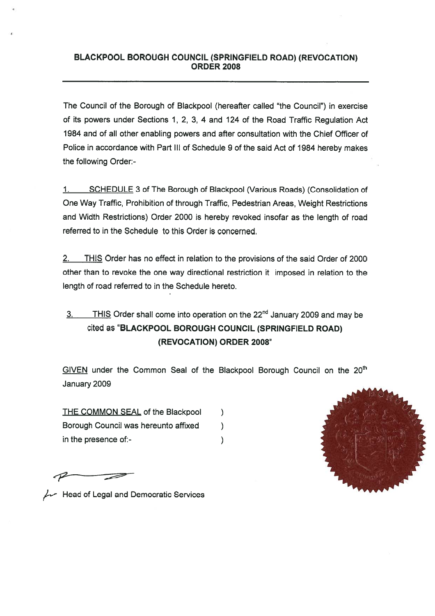## BLACKPOOL **BOROUGH** COUNCIL **(SPRINGFIELD** ROAD) (REVOCATION) **ORDER 2008**

The Council of the Borough of Blackpool (hereafter called "the Council") in exercise of its powers under Sections 1, 2, 3, 4 and 124 of the Road Traffic Regulation Act 1984 and of all other enabling powers and after consultation with the Chief Officer of Police in accordance with Part III of Schedule 9 of the said Act of 1984 hereby makes the following Order:-

1. SCHEDULE 3 of The Borough of Blackpool (Various Roads) (Consolidation of One Way Traffic, Prohibition of through Traffic, Pedestrian Areas, Weight Restrictions and Width Restrictions) Order 2000 is hereby revoked insofar as the length of road referred to in the Schedule to this Order is concerned.

2. THIS Order has no effect in relation to the provisions of the said Order of 2000 other than to revoke the one way directional restriction it imposed in relation to the length of road referred to in the Schedule hereto.

## 3. THIS Order shall come **into operation** on the 22nd January 2009 and may be **cited as "BLACKPOOL BOROUGH COUNCIL (SPRINGFIELD ROAD) (REVOCATION) ORDER 2008"**

GIVEN under the Common Seal of the Blackpool Borough Council on the 20<sup>th</sup> January 2009

THE COMMON SEAL of the **Blackpool**  $\mathcal{E}$ **Borough Council was hereunto affixed**  $\mathcal{E}$ **in the presence of:-**  $\mathcal{E}$ 

 $\mu$  Head of Legal and Democratic Services